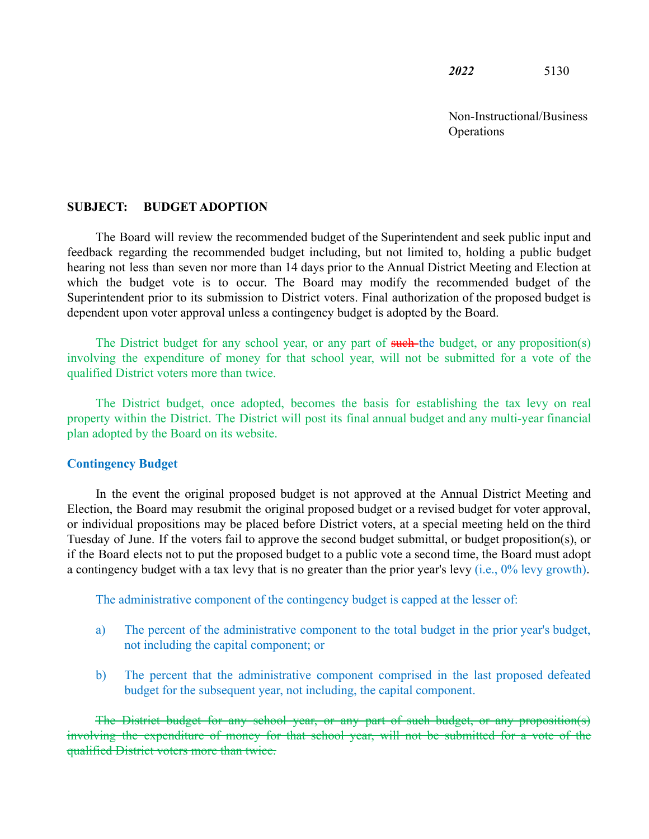*2022* 5130

Non-Instructional/Business **Operations** 

## **SUBJECT: BUDGET ADOPTION**

The Board will review the recommended budget of the Superintendent and seek public input and feedback regarding the recommended budget including, but not limited to, holding a public budget hearing not less than seven nor more than 14 days prior to the Annual District Meeting and Election at which the budget vote is to occur. The Board may modify the recommended budget of the Superintendent prior to its submission to District voters. Final authorization of the proposed budget is dependent upon voter approval unless a contingency budget is adopted by the Board.

The District budget for any school year, or any part of such the budget, or any proposition(s) involving the expenditure of money for that school year, will not be submitted for a vote of the qualified District voters more than twice.

The District budget, once adopted, becomes the basis for establishing the tax levy on real property within the District. The District will post its final annual budget and any multi-year financial plan adopted by the Board on its website.

## **Contingency Budget**

In the event the original proposed budget is not approved at the Annual District Meeting and Election, the Board may resubmit the original proposed budget or a revised budget for voter approval, or individual propositions may be placed before District voters, at a special meeting held on the third Tuesday of June. If the voters fail to approve the second budget submittal, or budget proposition(s), or if the Board elects not to put the proposed budget to a public vote a second time, the Board must adopt a contingency budget with a tax levy that is no greater than the prior year's levy (i.e., 0% levy growth).

The administrative component of the contingency budget is capped at the lesser of:

- a) The percent of the administrative component to the total budget in the prior year's budget, not including the capital component; or
- b) The percent that the administrative component comprised in the last proposed defeated budget for the subsequent year, not including, the capital component.

The District budget for any school year, or any part of such budget, or any proposition(s) involving the expenditure of money for that school year, will not be submitted for a vote of the qualified District voters more than twice.